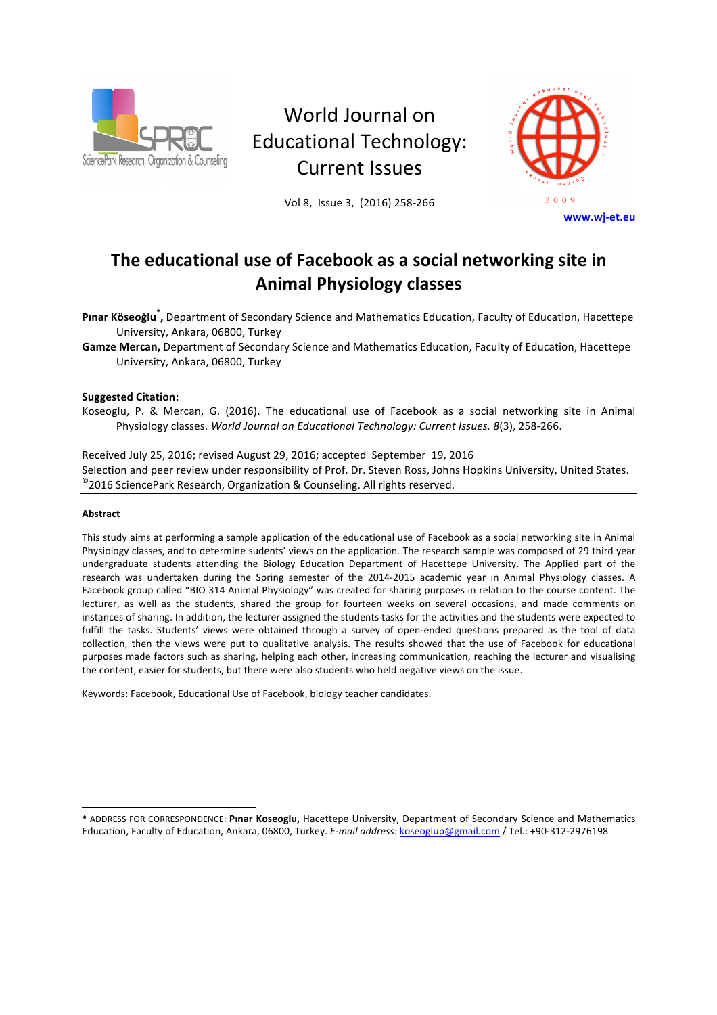

# World Journal on Educational Technology: **Current Issues**

Vol 8, Issue 3, (2016) 258-266



# The educational use of Facebook as a social networking site in **Animal Physiology classes**

Pinar Köseoğlu<sup>\*</sup>, Department of Secondary Science and Mathematics Education, Faculty of Education, Hacettepe University, Ankara, 06800, Turkey

Gamze Mercan, Department of Secondary Science and Mathematics Education, Faculty of Education, Hacettepe University, Ankara, 06800, Turkey

# **Suggested Citation:**

Koseoglu, P. & Mercan, G. (2016). The educational use of Facebook as a social networking site in Animal Physiology classes. *World Journal on Educational Technology: Current Issues. 8(3), 258-266.* 

Received July 25, 2016; revised August 29, 2016; accepted September 19, 2016 Selection and peer review under responsibility of Prof. Dr. Steven Ross, Johns Hopkins University, United States.  $^{\circ}$ 2016 SciencePark Research, Organization & Counseling. All rights reserved.

#### **Abstract**

l

This study aims at performing a sample application of the educational use of Facebook as a social networking site in Animal Physiology classes, and to determine sudents' views on the application. The research sample was composed of 29 third year undergraduate students attending the Biology Education Department of Hacettepe University. The Applied part of the research was undertaken during the Spring semester of the 2014-2015 academic year in Animal Physiology classes. A Facebook group called "BIO 314 Animal Physiology" was created for sharing purposes in relation to the course content. The lecturer, as well as the students, shared the group for fourteen weeks on several occasions, and made comments on instances of sharing. In addition, the lecturer assigned the students tasks for the activities and the students were expected to fulfill the tasks. Students' views were obtained through a survey of open-ended questions prepared as the tool of data collection, then the views were put to qualitative analysis. The results showed that the use of Facebook for educational purposes made factors such as sharing, helping each other, increasing communication, reaching the lecturer and visualising the content, easier for students, but there were also students who held negative views on the issue.

Keywords: Facebook, Educational Use of Facebook, biology teacher candidates.

**<sup>\*</sup>** ADDRESS FOR CORRESPONDENCE: **Pınar Koseoglu,** Hacettepe University, Department of Secondary Science and Mathematics Education, Faculty of Education, Ankara, 06800, Turkey. E-mail address: koseoglup@gmail.com / Tel.: +90-312-2976198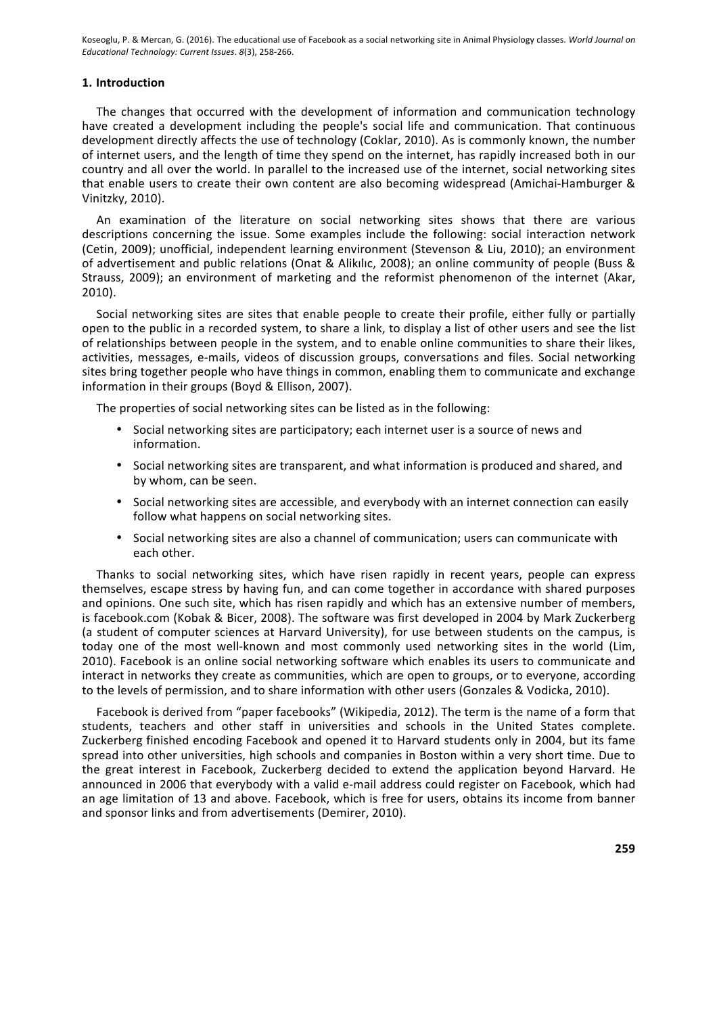# **1. Introduction**

The changes that occurred with the development of information and communication technology have created a development including the people's social life and communication. That continuous development directly affects the use of technology (Coklar, 2010). As is commonly known, the number of internet users, and the length of time they spend on the internet, has rapidly increased both in our country and all over the world. In parallel to the increased use of the internet, social networking sites that enable users to create their own content are also becoming widespread (Amichai-Hamburger & Vinitzky, 2010). 

An examination of the literature on social networking sites shows that there are various descriptions concerning the issue. Some examples include the following: social interaction network (Cetin, 2009); unofficial, independent learning environment (Stevenson & Liu, 2010); an environment of advertisement and public relations (Onat & Alikilic, 2008); an online community of people (Buss & Strauss, 2009); an environment of marketing and the reformist phenomenon of the internet (Akar, 2010). 

Social networking sites are sites that enable people to create their profile, either fully or partially open to the public in a recorded system, to share a link, to display a list of other users and see the list of relationships between people in the system, and to enable online communities to share their likes, activities, messages, e-mails, videos of discussion groups, conversations and files. Social networking sites bring together people who have things in common, enabling them to communicate and exchange information in their groups (Boyd & Ellison, 2007).

The properties of social networking sites can be listed as in the following:

- Social networking sites are participatory; each internet user is a source of news and information.
- Social networking sites are transparent, and what information is produced and shared, and by whom, can be seen.
- Social networking sites are accessible, and everybody with an internet connection can easily follow what happens on social networking sites.
- Social networking sites are also a channel of communication; users can communicate with each other.

Thanks to social networking sites, which have risen rapidly in recent years, people can express themselves, escape stress by having fun, and can come together in accordance with shared purposes and opinions. One such site, which has risen rapidly and which has an extensive number of members, is facebook.com (Kobak & Bicer, 2008). The software was first developed in 2004 by Mark Zuckerberg (a student of computer sciences at Harvard University), for use between students on the campus, is today one of the most well-known and most commonly used networking sites in the world (Lim, 2010). Facebook is an online social networking software which enables its users to communicate and interact in networks they create as communities, which are open to groups, or to everyone, according to the levels of permission, and to share information with other users (Gonzales & Vodicka, 2010).

Facebook is derived from "paper facebooks" (Wikipedia, 2012). The term is the name of a form that students, teachers and other staff in universities and schools in the United States complete. Zuckerberg finished encoding Facebook and opened it to Harvard students only in 2004, but its fame spread into other universities, high schools and companies in Boston within a very short time. Due to the great interest in Facebook, Zuckerberg decided to extend the application beyond Harvard. He announced in 2006 that everybody with a valid e-mail address could register on Facebook, which had an age limitation of 13 and above. Facebook, which is free for users, obtains its income from banner and sponsor links and from advertisements (Demirer, 2010).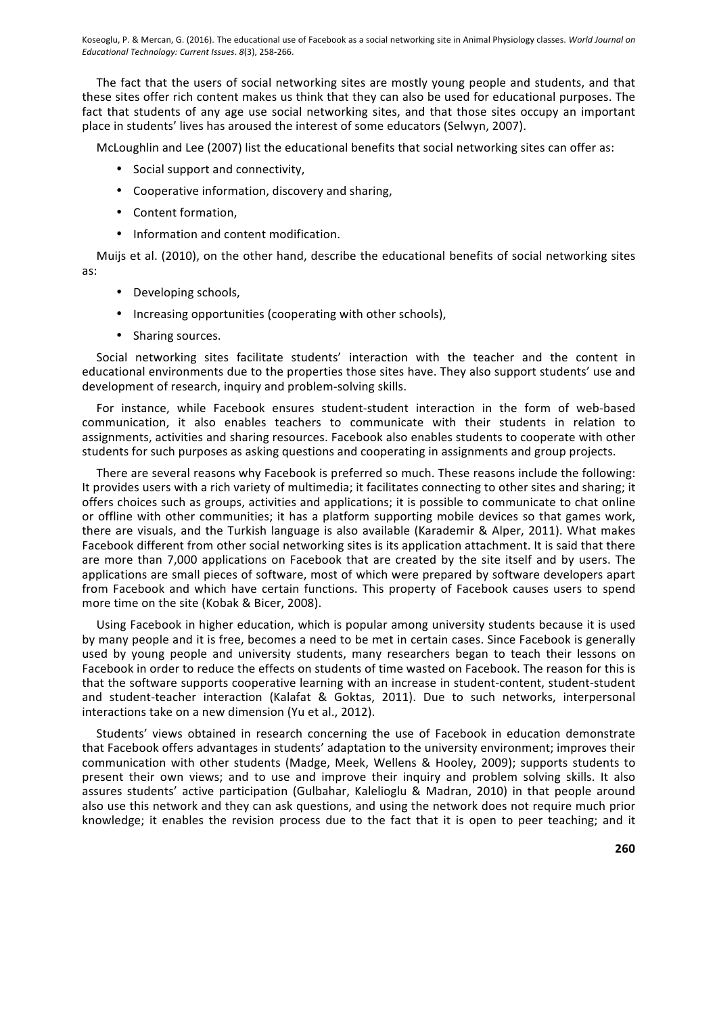The fact that the users of social networking sites are mostly young people and students, and that these sites offer rich content makes us think that they can also be used for educational purposes. The fact that students of any age use social networking sites, and that those sites occupy an important place in students' lives has aroused the interest of some educators (Selwyn, 2007).

McLoughlin and Lee (2007) list the educational benefits that social networking sites can offer as:

- Social support and connectivity,
- Cooperative information, discovery and sharing,
- Content formation,
- Information and content modification.

Muijs et al. (2010), on the other hand, describe the educational benefits of social networking sites as: 

- Developing schools,
- Increasing opportunities (cooperating with other schools),
- Sharing sources.

Social networking sites facilitate students' interaction with the teacher and the content in educational environments due to the properties those sites have. They also support students' use and development of research, inquiry and problem-solving skills.

For instance, while Facebook ensures student-student interaction in the form of web-based communication, it also enables teachers to communicate with their students in relation to assignments, activities and sharing resources. Facebook also enables students to cooperate with other students for such purposes as asking questions and cooperating in assignments and group projects.

There are several reasons why Facebook is preferred so much. These reasons include the following: It provides users with a rich variety of multimedia; it facilitates connecting to other sites and sharing; it offers choices such as groups, activities and applications; it is possible to communicate to chat online or offline with other communities; it has a platform supporting mobile devices so that games work, there are visuals, and the Turkish language is also available (Karademir & Alper, 2011). What makes Facebook different from other social networking sites is its application attachment. It is said that there are more than 7,000 applications on Facebook that are created by the site itself and by users. The applications are small pieces of software, most of which were prepared by software developers apart from Facebook and which have certain functions. This property of Facebook causes users to spend more time on the site (Kobak & Bicer, 2008).

Using Facebook in higher education, which is popular among university students because it is used by many people and it is free, becomes a need to be met in certain cases. Since Facebook is generally used by young people and university students, many researchers began to teach their lessons on Facebook in order to reduce the effects on students of time wasted on Facebook. The reason for this is that the software supports cooperative learning with an increase in student-content, student-student and student-teacher interaction (Kalafat & Goktas, 2011). Due to such networks, interpersonal interactions take on a new dimension (Yu et al., 2012).

Students' views obtained in research concerning the use of Facebook in education demonstrate that Facebook offers advantages in students' adaptation to the university environment; improves their communication with other students (Madge, Meek, Wellens & Hooley, 2009); supports students to present their own views; and to use and improve their inquiry and problem solving skills. It also assures students' active participation (Gulbahar, Kalelioglu & Madran, 2010) in that people around also use this network and they can ask questions, and using the network does not require much prior knowledge; it enables the revision process due to the fact that it is open to peer teaching; and it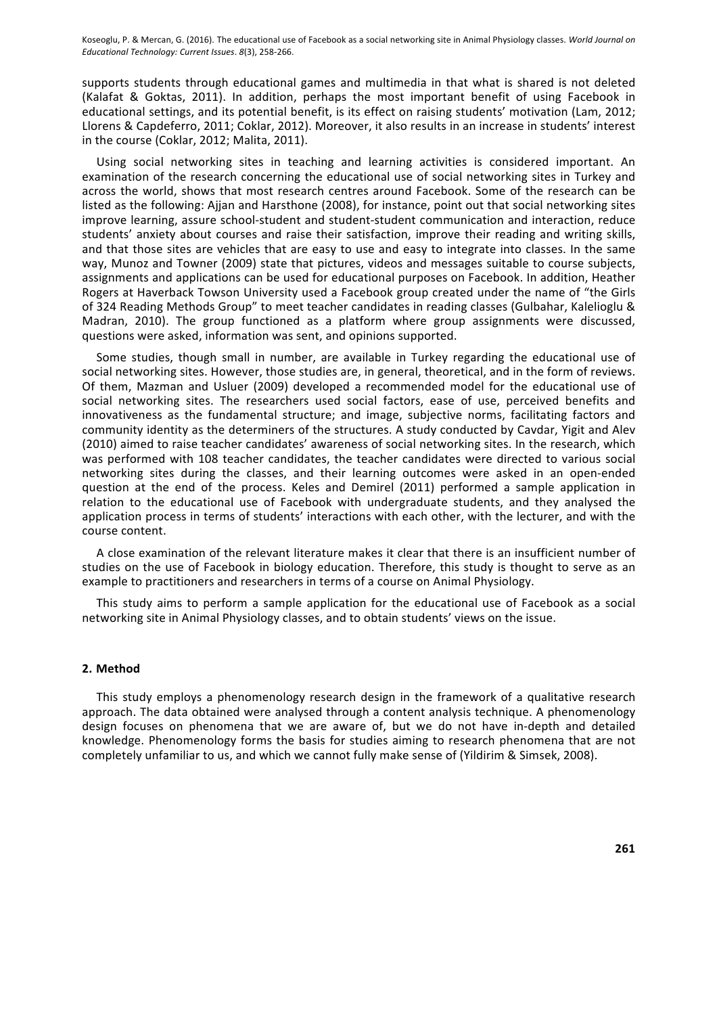supports students through educational games and multimedia in that what is shared is not deleted (Kalafat & Goktas, 2011). In addition, perhaps the most important benefit of using Facebook in educational settings, and its potential benefit, is its effect on raising students' motivation (Lam, 2012; Llorens & Capdeferro, 2011; Coklar, 2012). Moreover, it also results in an increase in students' interest in the course (Coklar, 2012; Malita, 2011).

Using social networking sites in teaching and learning activities is considered important. An examination of the research concerning the educational use of social networking sites in Turkey and across the world, shows that most research centres around Facebook. Some of the research can be listed as the following: Ajjan and Harsthone (2008), for instance, point out that social networking sites improve learning, assure school-student and student-student communication and interaction, reduce students' anxiety about courses and raise their satisfaction, improve their reading and writing skills, and that those sites are vehicles that are easy to use and easy to integrate into classes. In the same way, Munoz and Towner (2009) state that pictures, videos and messages suitable to course subjects, assignments and applications can be used for educational purposes on Facebook. In addition, Heather Rogers at Haverback Towson University used a Facebook group created under the name of "the Girls of 324 Reading Methods Group" to meet teacher candidates in reading classes (Gulbahar, Kalelioglu & Madran, 2010). The group functioned as a platform where group assignments were discussed, questions were asked, information was sent, and opinions supported.

Some studies, though small in number, are available in Turkey regarding the educational use of social networking sites. However, those studies are, in general, theoretical, and in the form of reviews. Of them, Mazman and Usluer (2009) developed a recommended model for the educational use of social networking sites. The researchers used social factors, ease of use, perceived benefits and innovativeness as the fundamental structure; and image, subjective norms, facilitating factors and community identity as the determiners of the structures. A study conducted by Cavdar, Yigit and Alev (2010) aimed to raise teacher candidates' awareness of social networking sites. In the research, which was performed with 108 teacher candidates, the teacher candidates were directed to various social networking sites during the classes, and their learning outcomes were asked in an open-ended question at the end of the process. Keles and Demirel (2011) performed a sample application in relation to the educational use of Facebook with undergraduate students, and they analysed the application process in terms of students' interactions with each other, with the lecturer, and with the course content.

A close examination of the relevant literature makes it clear that there is an insufficient number of studies on the use of Facebook in biology education. Therefore, this study is thought to serve as an example to practitioners and researchers in terms of a course on Animal Physiology.

This study aims to perform a sample application for the educational use of Facebook as a social networking site in Animal Physiology classes, and to obtain students' views on the issue.

#### **2. Method**

This study employs a phenomenology research design in the framework of a qualitative research approach. The data obtained were analysed through a content analysis technique. A phenomenology design focuses on phenomena that we are aware of, but we do not have in-depth and detailed knowledge. Phenomenology forms the basis for studies aiming to research phenomena that are not completely unfamiliar to us, and which we cannot fully make sense of (Yildirim & Simsek, 2008).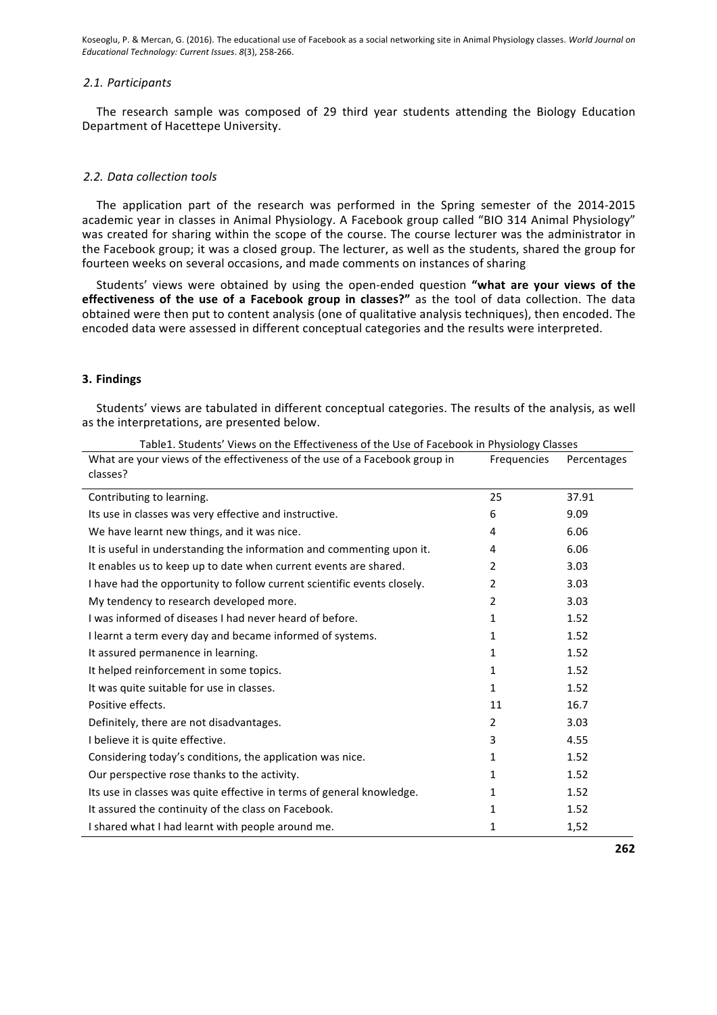#### *2.1. Participants*

The research sample was composed of 29 third year students attending the Biology Education Department of Hacettepe University.

# *2.2. Data collection tools*

The application part of the research was performed in the Spring semester of the 2014-2015 academic year in classes in Animal Physiology. A Facebook group called "BIO 314 Animal Physiology" was created for sharing within the scope of the course. The course lecturer was the administrator in the Facebook group; it was a closed group. The lecturer, as well as the students, shared the group for fourteen weeks on several occasions, and made comments on instances of sharing

Students' views were obtained by using the open-ended question "what are your views of the **effectiveness of the use of a Facebook group in classes?"** as the tool of data collection. The data obtained were then put to content analysis (one of qualitative analysis techniques), then encoded. The encoded data were assessed in different conceptual categories and the results were interpreted.

### **3. Findings**

Students' views are tabulated in different conceptual categories. The results of the analysis, as well as the interpretations, are presented below.

| What are your views of the effectiveness of the use of a Facebook group in | <b>Frequencies</b> | Percentages |
|----------------------------------------------------------------------------|--------------------|-------------|
| classes?                                                                   |                    |             |
| Contributing to learning.                                                  | 25                 | 37.91       |
| Its use in classes was very effective and instructive.                     | 6                  | 9.09        |
| We have learnt new things, and it was nice.                                | 4                  | 6.06        |
| It is useful in understanding the information and commenting upon it.      | 4                  | 6.06        |
| It enables us to keep up to date when current events are shared.           | 2                  | 3.03        |
| I have had the opportunity to follow current scientific events closely.    | 2                  | 3.03        |
| My tendency to research developed more.                                    | 2                  | 3.03        |
| I was informed of diseases I had never heard of before.                    | 1                  | 1.52        |
| I learnt a term every day and became informed of systems.                  | 1                  | 1.52        |
| It assured permanence in learning.                                         | 1                  | 1.52        |
| It helped reinforcement in some topics.                                    | 1                  | 1.52        |
| It was quite suitable for use in classes.                                  | $\mathbf{1}$       | 1.52        |
| Positive effects.                                                          | 11                 | 16.7        |
| Definitely, there are not disadvantages.                                   | 2                  | 3.03        |
| I believe it is quite effective.                                           | 3                  | 4.55        |
| Considering today's conditions, the application was nice.                  | 1                  | 1.52        |
| Our perspective rose thanks to the activity.                               | 1                  | 1.52        |
| Its use in classes was quite effective in terms of general knowledge.      | 1                  | 1.52        |
| It assured the continuity of the class on Facebook.                        | 1                  | 1.52        |
| I shared what I had learnt with people around me.                          | 1                  | 1,52        |

Table1. Students' Views on the Effectiveness of the Use of Facebook in Physiology Classes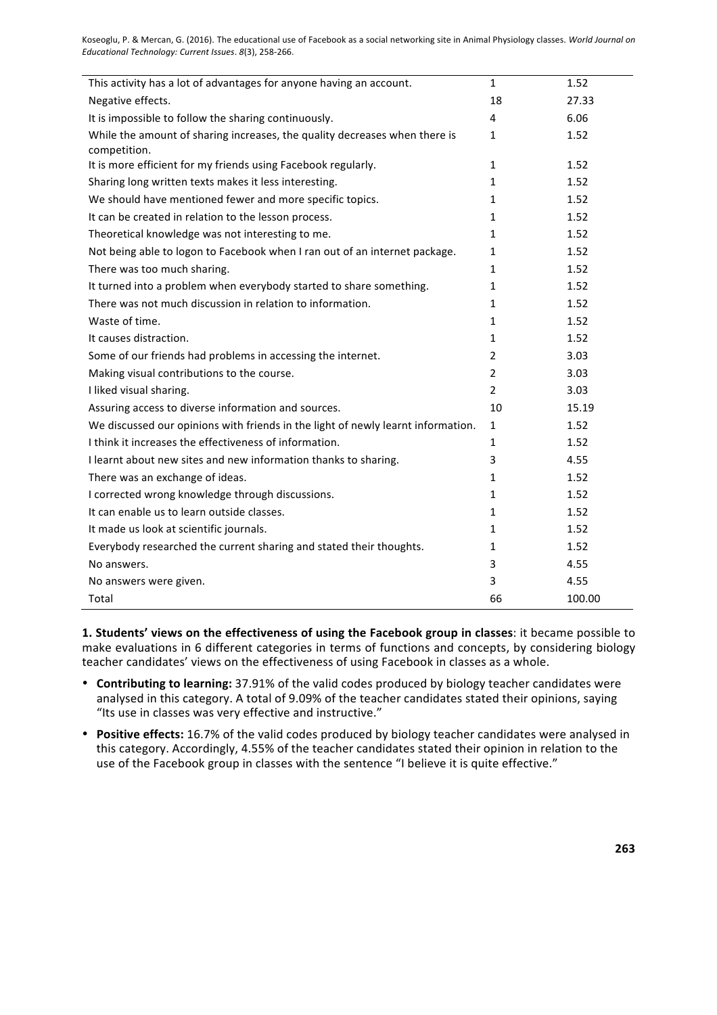| This activity has a lot of advantages for anyone having an account.              | $\mathbf{1}$   | 1.52   |
|----------------------------------------------------------------------------------|----------------|--------|
| Negative effects.                                                                | 18             | 27.33  |
| It is impossible to follow the sharing continuously.                             | 4              | 6.06   |
| While the amount of sharing increases, the quality decreases when there is       | 1              | 1.52   |
| competition.                                                                     |                |        |
| It is more efficient for my friends using Facebook regularly.                    | $\mathbf{1}$   | 1.52   |
| Sharing long written texts makes it less interesting.                            | 1              | 1.52   |
| We should have mentioned fewer and more specific topics.                         | 1              | 1.52   |
| It can be created in relation to the lesson process.                             | 1              | 1.52   |
| Theoretical knowledge was not interesting to me.                                 | 1              | 1.52   |
| Not being able to logon to Facebook when I ran out of an internet package.       | 1              | 1.52   |
| There was too much sharing.                                                      | 1              | 1.52   |
| It turned into a problem when everybody started to share something.              | 1              | 1.52   |
| There was not much discussion in relation to information.                        | 1              | 1.52   |
| Waste of time.                                                                   | 1              | 1.52   |
| It causes distraction.                                                           | 1              | 1.52   |
| Some of our friends had problems in accessing the internet.                      | $\overline{2}$ | 3.03   |
| Making visual contributions to the course.                                       | $\overline{2}$ | 3.03   |
| I liked visual sharing.                                                          | $\overline{2}$ | 3.03   |
| Assuring access to diverse information and sources.                              | 10             | 15.19  |
| We discussed our opinions with friends in the light of newly learnt information. | 1              | 1.52   |
| I think it increases the effectiveness of information.                           | 1              | 1.52   |
| I learnt about new sites and new information thanks to sharing.                  | 3              | 4.55   |
| There was an exchange of ideas.                                                  | 1              | 1.52   |
| I corrected wrong knowledge through discussions.                                 | 1              | 1.52   |
| It can enable us to learn outside classes.                                       | 1              | 1.52   |
| It made us look at scientific journals.                                          | 1              | 1.52   |
| Everybody researched the current sharing and stated their thoughts.              | 1              | 1.52   |
| No answers.                                                                      | 3              | 4.55   |
| No answers were given.                                                           | 3              | 4.55   |
| Total                                                                            | 66             | 100.00 |

1. Students' views on the effectiveness of using the Facebook group in classes: it became possible to make evaluations in 6 different categories in terms of functions and concepts, by considering biology teacher candidates' views on the effectiveness of using Facebook in classes as a whole.

- Contributing to learning: 37.91% of the valid codes produced by biology teacher candidates were analysed in this category. A total of 9.09% of the teacher candidates stated their opinions, saying "Its use in classes was very effective and instructive."
- **Positive effects:** 16.7% of the valid codes produced by biology teacher candidates were analysed in this category. Accordingly, 4.55% of the teacher candidates stated their opinion in relation to the use of the Facebook group in classes with the sentence "I believe it is quite effective."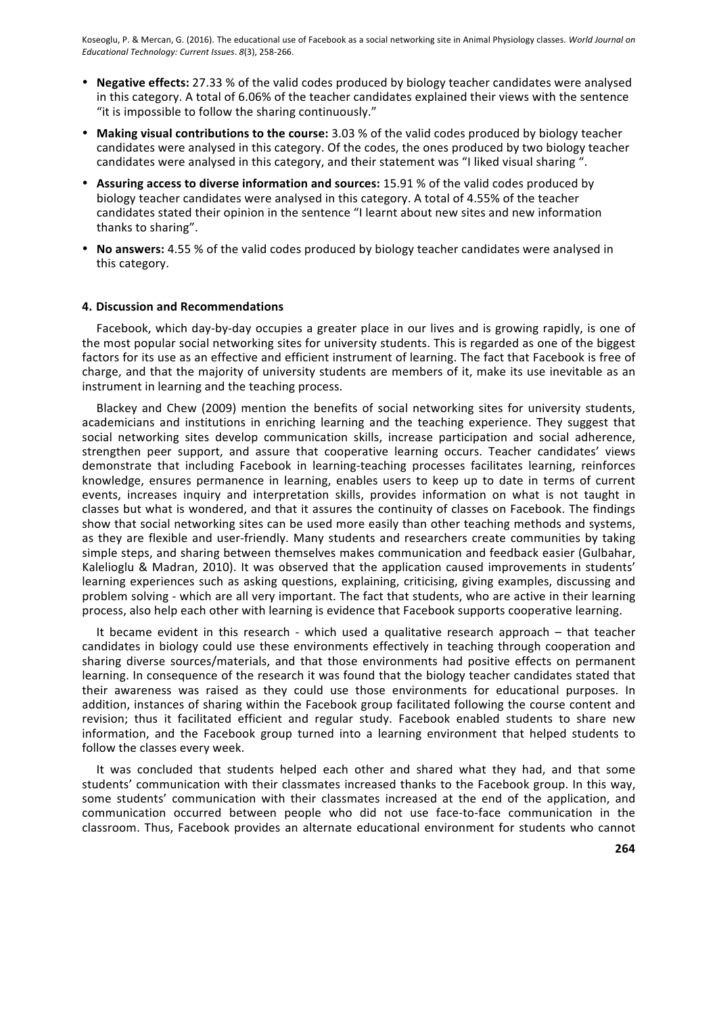- Negative effects: 27.33 % of the valid codes produced by biology teacher candidates were analysed in this category. A total of 6.06% of the teacher candidates explained their views with the sentence "it is impossible to follow the sharing continuously."
- Making visual contributions to the course: 3.03 % of the valid codes produced by biology teacher candidates were analysed in this category. Of the codes, the ones produced by two biology teacher candidates were analysed in this category, and their statement was "I liked visual sharing ".
- Assuring access to diverse information and sources: 15.91 % of the valid codes produced by biology teacher candidates were analysed in this category. A total of 4.55% of the teacher candidates stated their opinion in the sentence "I learnt about new sites and new information thanks to sharing".
- No answers: 4.55 % of the valid codes produced by biology teacher candidates were analysed in this category.

#### **4. Discussion and Recommendations**

Facebook, which day-by-day occupies a greater place in our lives and is growing rapidly, is one of the most popular social networking sites for university students. This is regarded as one of the biggest factors for its use as an effective and efficient instrument of learning. The fact that Facebook is free of charge, and that the majority of university students are members of it, make its use inevitable as an instrument in learning and the teaching process.

Blackey and Chew (2009) mention the benefits of social networking sites for university students, academicians and institutions in enriching learning and the teaching experience. They suggest that social networking sites develop communication skills, increase participation and social adherence, strengthen peer support, and assure that cooperative learning occurs. Teacher candidates' views demonstrate that including Facebook in learning-teaching processes facilitates learning, reinforces knowledge, ensures permanence in learning, enables users to keep up to date in terms of current events, increases inquiry and interpretation skills, provides information on what is not taught in classes but what is wondered, and that it assures the continuity of classes on Facebook. The findings show that social networking sites can be used more easily than other teaching methods and systems, as they are flexible and user-friendly. Many students and researchers create communities by taking simple steps, and sharing between themselves makes communication and feedback easier (Gulbahar, Kalelioglu & Madran, 2010). It was observed that the application caused improvements in students' learning experiences such as asking questions, explaining, criticising, giving examples, discussing and problem solving - which are all very important. The fact that students, who are active in their learning process, also help each other with learning is evidence that Facebook supports cooperative learning.

It became evident in this research - which used a qualitative research approach  $-$  that teacher candidates in biology could use these environments effectively in teaching through cooperation and sharing diverse sources/materials, and that those environments had positive effects on permanent learning. In consequence of the research it was found that the biology teacher candidates stated that their awareness was raised as they could use those environments for educational purposes. In addition, instances of sharing within the Facebook group facilitated following the course content and revision; thus it facilitated efficient and regular study. Facebook enabled students to share new information, and the Facebook group turned into a learning environment that helped students to follow the classes every week.

It was concluded that students helped each other and shared what they had, and that some students' communication with their classmates increased thanks to the Facebook group. In this way, some students' communication with their classmates increased at the end of the application, and communication occurred between people who did not use face-to-face communication in the classroom. Thus, Facebook provides an alternate educational environment for students who cannot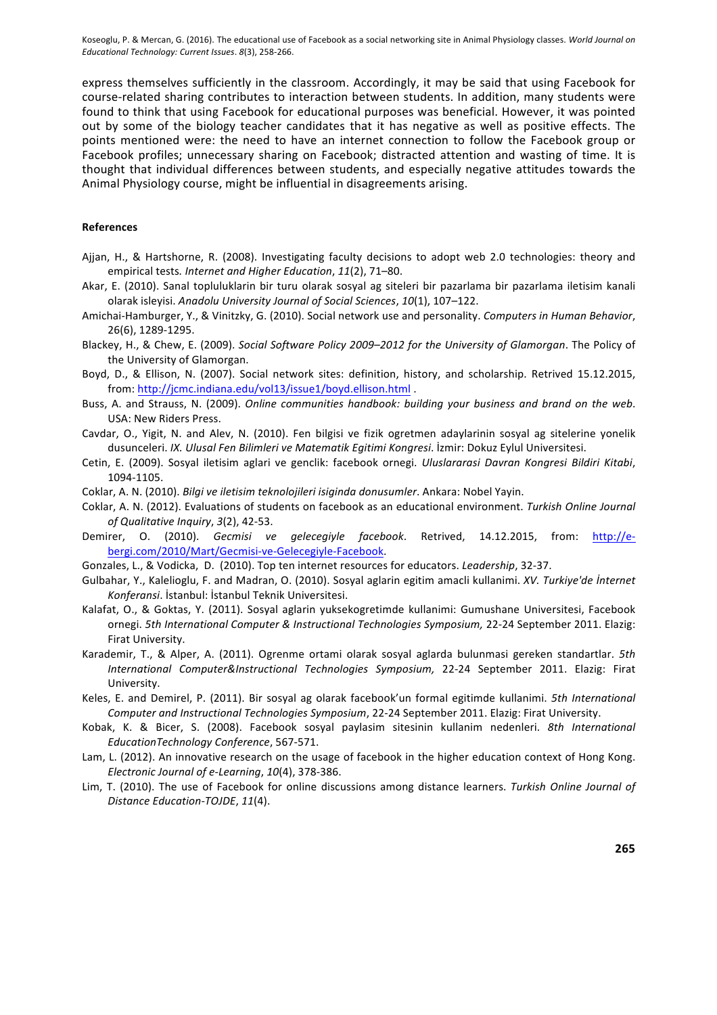express themselves sufficiently in the classroom. Accordingly, it may be said that using Facebook for course-related sharing contributes to interaction between students. In addition, many students were found to think that using Facebook for educational purposes was beneficial. However, it was pointed out by some of the biology teacher candidates that it has negative as well as positive effects. The points mentioned were: the need to have an internet connection to follow the Facebook group or Facebook profiles; unnecessary sharing on Facebook; distracted attention and wasting of time. It is thought that individual differences between students, and especially negative attitudes towards the Animal Physiology course, might be influential in disagreements arising.

#### **References**

- Ajjan, H., & Hartshorne, R. (2008). Investigating faculty decisions to adopt web 2.0 technologies: theory and empirical tests. Internet and Higher Education, 11(2), 71-80.
- Akar, E. (2010). Sanal topluluklarin bir turu olarak sosyal ag siteleri bir pazarlama bir pazarlama iletisim kanali olarak isleyisi. Anadolu University Journal of Social Sciences, 10(1), 107-122.
- Amichai-Hamburger, Y., & Vinitzky, G. (2010). Social network use and personality. Computers in Human Behavior, 26(6), 1289-1295.
- Blackey, H., & Chew, E. (2009). Social Software Policy 2009-2012 for the University of Glamorgan. The Policy of the University of Glamorgan.
- Boyd, D., & Ellison, N. (2007). Social network sites: definition, history, and scholarship. Retrived 15.12.2015, from: http://jcmc.indiana.edu/vol13/issue1/boyd.ellison.html.
- Buss, A. and Strauss, N. (2009). *Online communities handbook: building your business and brand on the web*. USA: New Riders Press.
- Cavdar, O., Yigit, N. and Alev, N. (2010). Fen bilgisi ve fizik ogretmen adaylarinin sosyal ag sitelerine yonelik dusunceleri. *IX. Ulusal Fen Bilimleri ve Matematik Egitimi Kongresi*. İzmir: Dokuz Eylul Universitesi.
- Cetin, E. (2009). Sosyal iletisim aglari ve genclik: facebook ornegi. *Uluslararasi Davran Kongresi Bildiri Kitabi*, 1094-1105.
- Coklar, A. N. (2010). *Bilgi ve iletisim teknolojileri isiginda donusumler*. Ankara: Nobel Yayin.
- Coklar, A. N. (2012). Evaluations of students on facebook as an educational environment. Turkish Online Journal *of Qualitative Inquiry*, *3*(2), 42-53.
- Demirer, O. (2010). Gecmisi ve gelecegiyle facebook. Retrived, 14.12.2015, from: http://ebergi.com/2010/Mart/Gecmisi-ve-Gelecegiyle-Facebook.
- Gonzales, L., & Vodicka, D. (2010). Top ten internet resources for educators. *Leadership*, 32-37.
- Gulbahar, Y., Kalelioglu, F. and Madran, O. (2010). Sosyal aglarin egitim amacli kullanimi. *XV. Turkiye'de İnternet* Konferansi. İstanbul: İstanbul Teknik Universitesi.
- Kalafat, O., & Goktas, Y. (2011). Sosyal aglarin yuksekogretimde kullanimi: Gumushane Universitesi, Facebook ornegi. 5th International Computer & Instructional Technologies Symposium, 22-24 September 2011. Elazig: Firat University.
- Karademir, T., & Alper, A. (2011). Ogrenme ortami olarak sosyal aglarda bulunmasi gereken standartlar. 5th *International Computer&Instructional Technologies Symposium,*  22-24 September 2011. Elazig: Firat University.
- Keles, E. and Demirel, P. (2011). Bir sosyal ag olarak facebook'un formal egitimde kullanimi. *5th International Computer and Instructional Technologies Symposium, 22-24 September 2011. Elazig: Firat University.*
- Kobak, K. & Bicer, S. (2008). Facebook sosyal paylasim sitesinin kullanim nedenleri. 8th International *EducationTechnology Conference*, 567-571.
- Lam, L. (2012). An innovative research on the usage of facebook in the higher education context of Hong Kong. *Electronic Journal of e-Learning*, *10*(4), 378-386.
- Lim, T. (2010). The use of Facebook for online discussions among distance learners. *Turkish Online Journal of Distance Education-TOJDE*, *11*(4).